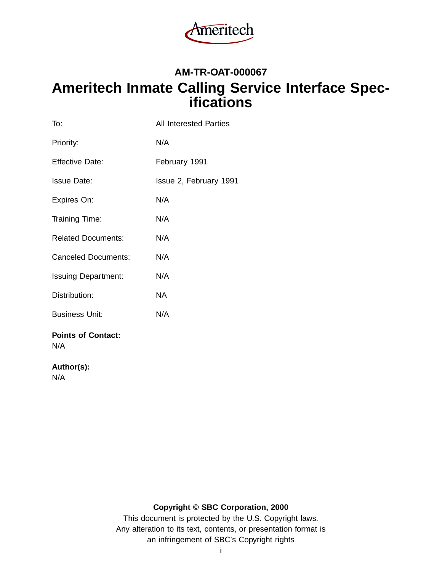

# **AM-TR-OAT-000067 Ameritech Inmate Calling Service Interface Specifications**

| To:                              | <b>All Interested Parties</b> |
|----------------------------------|-------------------------------|
| Priority:                        | N/A                           |
| <b>Effective Date:</b>           | February 1991                 |
| <b>Issue Date:</b>               | Issue 2, February 1991        |
| Expires On:                      | N/A                           |
| Training Time:                   | N/A                           |
| <b>Related Documents:</b>        | N/A                           |
| <b>Canceled Documents:</b>       | N/A                           |
| <b>Issuing Department:</b>       | N/A                           |
| Distribution:                    | NA                            |
| <b>Business Unit:</b>            | N/A                           |
| <b>Points of Contact:</b><br>N/A |                               |

## **Author(s):**

N/A

## **Copyright © SBC Corporation, 2000**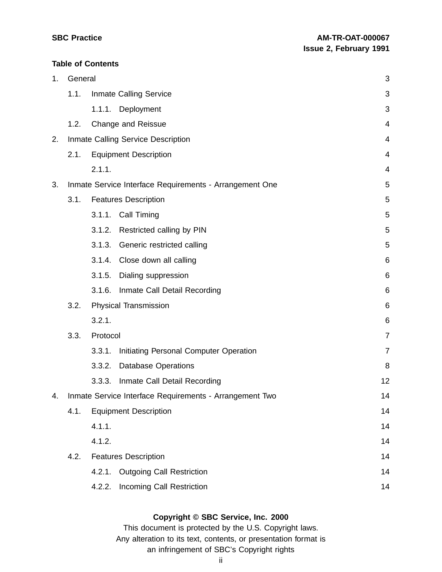## **Table of Contents**

| General<br>1. |      | 3        |                                                         |                |
|---------------|------|----------|---------------------------------------------------------|----------------|
|               | 1.1. |          | <b>Inmate Calling Service</b>                           | 3              |
|               |      |          | 1.1.1. Deployment                                       | 3              |
|               | 1.2. |          | <b>Change and Reissue</b>                               | $\overline{4}$ |
| 2.            |      |          | Inmate Calling Service Description                      | 4              |
|               | 2.1. |          | <b>Equipment Description</b>                            | 4              |
|               |      | 2.1.1.   |                                                         | 4              |
| 3.            |      |          | Inmate Service Interface Requirements - Arrangement One | 5              |
|               | 3.1. |          | <b>Features Description</b>                             | 5              |
|               |      |          | 3.1.1. Call Timing                                      | 5              |
|               |      | 3.1.2.   | Restricted calling by PIN                               | 5              |
|               |      | 3.1.3.   | Generic restricted calling                              | 5              |
|               |      |          | 3.1.4. Close down all calling                           | 6              |
|               |      | 3.1.5.   | Dialing suppression                                     | 6              |
|               |      | 3.1.6.   | Inmate Call Detail Recording                            | 6              |
|               | 3.2. |          | <b>Physical Transmission</b>                            | 6              |
|               |      | 3.2.1.   |                                                         | 6              |
|               | 3.3. | Protocol |                                                         | $\overline{7}$ |
|               |      | 3.3.1.   | Initiating Personal Computer Operation                  | $\overline{7}$ |
|               |      | 3.3.2.   | <b>Database Operations</b>                              | 8              |
|               |      | 3.3.3.   | Inmate Call Detail Recording                            | 12             |
| 4.            |      |          | Inmate Service Interface Requirements - Arrangement Two | 14             |
| 4.1.          |      |          | <b>Equipment Description</b>                            | 14             |
|               |      | 4.1.1.   |                                                         | 14             |
|               |      | 4.1.2.   |                                                         | 14             |
|               | 4.2. |          | <b>Features Description</b>                             | 14             |
|               |      |          | 4.2.1. Outgoing Call Restriction                        | 14             |
|               |      | 4.2.2.   | Incoming Call Restriction                               | 14             |

## **Copyright © SBC Service, Inc. 2000**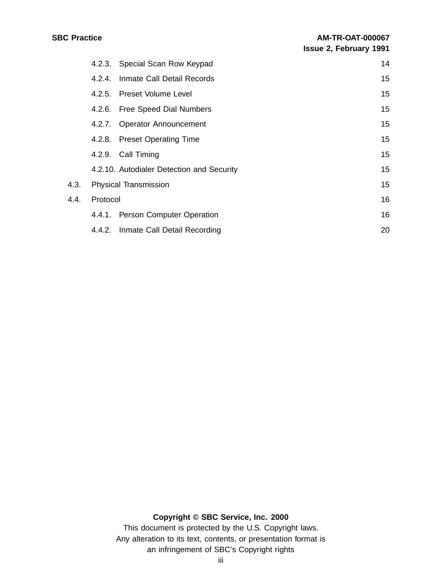|      |          | 4.2.3. Special Scan Row Keypad            | 14 |
|------|----------|-------------------------------------------|----|
|      |          | 4.2.4. Inmate Call Detail Records         | 15 |
|      |          | 4.2.5. Preset Volume Level                | 15 |
|      |          | 4.2.6. Free Speed Dial Numbers            | 15 |
|      |          | 4.2.7. Operator Announcement              | 15 |
|      |          | 4.2.8. Preset Operating Time              | 15 |
|      |          | 4.2.9. Call Timing                        | 15 |
|      |          | 4.2.10. Autodialer Detection and Security | 15 |
| 4.3. |          | <b>Physical Transmission</b>              | 15 |
| 4.4. | Protocol |                                           | 16 |
|      |          | 4.4.1. Person Computer Operation          | 16 |
|      | 4.4.2.   | Inmate Call Detail Recording              | 20 |

## **Copyright © SBC Service, Inc. 2000**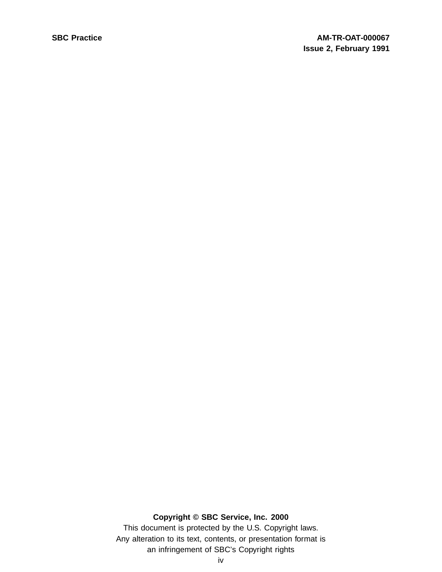## **Copyright © SBC Service, Inc. 2000**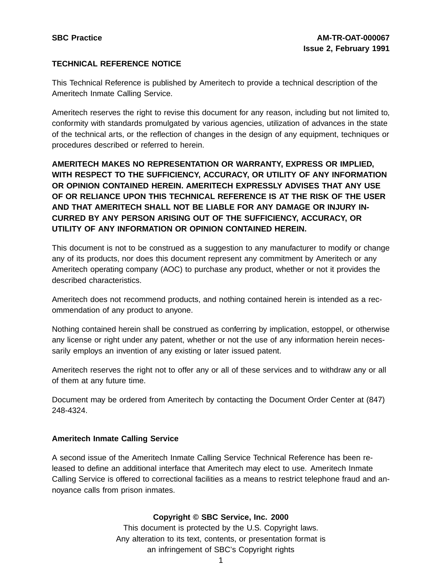## **TECHNICAL REFERENCE NOTICE**

This Technical Reference is published by Ameritech to provide a technical description of the Ameritech Inmate Calling Service.

Ameritech reserves the right to revise this document for any reason, including but not limited to, conformity with standards promulgated by various agencies, utilization of advances in the state of the technical arts, or the reflection of changes in the design of any equipment, techniques or procedures described or referred to herein.

**AMERITECH MAKES NO REPRESENTATION OR WARRANTY, EXPRESS OR IMPLIED, WITH RESPECT TO THE SUFFICIENCY, ACCURACY, OR UTILITY OF ANY INFORMATION OR OPINION CONTAINED HEREIN. AMERITECH EXPRESSLY ADVISES THAT ANY USE OF OR RELIANCE UPON THIS TECHNICAL REFERENCE IS AT THE RISK OF THE USER AND THAT AMERITECH SHALL NOT BE LIABLE FOR ANY DAMAGE OR INJURY IN-CURRED BY ANY PERSON ARISING OUT OF THE SUFFICIENCY, ACCURACY, OR UTILITY OF ANY INFORMATION OR OPINION CONTAINED HEREIN.**

This document is not to be construed as a suggestion to any manufacturer to modify or change any of its products, nor does this document represent any commitment by Ameritech or any Ameritech operating company (AOC) to purchase any product, whether or not it provides the described characteristics.

Ameritech does not recommend products, and nothing contained herein is intended as a recommendation of any product to anyone.

Nothing contained herein shall be construed as conferring by implication, estoppel, or otherwise any license or right under any patent, whether or not the use of any information herein necessarily employs an invention of any existing or later issued patent.

Ameritech reserves the right not to offer any or all of these services and to withdraw any or all of them at any future time.

Document may be ordered from Ameritech by contacting the Document Order Center at (847) 248-4324.

## **Ameritech Inmate Calling Service**

A second issue of the Ameritech Inmate Calling Service Technical Reference has been released to define an additional interface that Ameritech may elect to use. Ameritech Inmate Calling Service is offered to correctional facilities as a means to restrict telephone fraud and annoyance calls from prison inmates.

## **Copyright © SBC Service, Inc. 2000**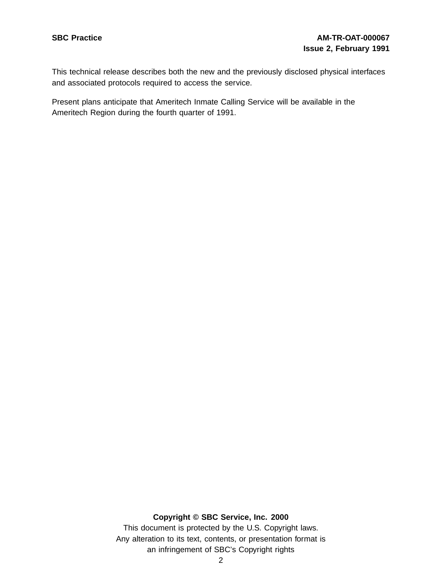This technical release describes both the new and the previously disclosed physical interfaces and associated protocols required to access the service.

Present plans anticipate that Ameritech Inmate Calling Service will be available in the Ameritech Region during the fourth quarter of 1991.

#### **Copyright © SBC Service, Inc. 2000**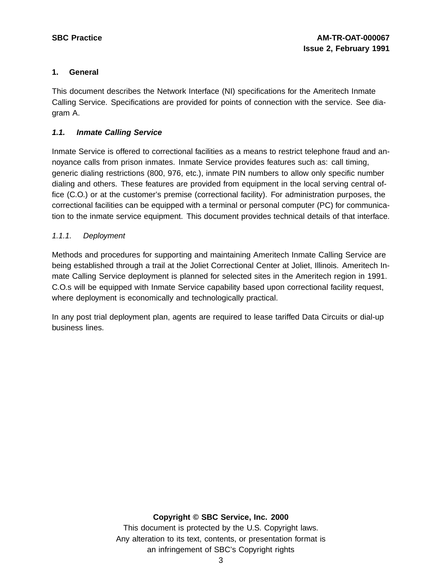## **1. General**

This document describes the Network Interface (NI) specifications for the Ameritech Inmate Calling Service. Specifications are provided for points of connection with the service. See diagram A.

## **1.1. Inmate Calling Service**

Inmate Service is offered to correctional facilities as a means to restrict telephone fraud and annoyance calls from prison inmates. Inmate Service provides features such as: call timing, generic dialing restrictions (800, 976, etc.), inmate PIN numbers to allow only specific number dialing and others. These features are provided from equipment in the local serving central office (C.O.) or at the customer's premise (correctional facility). For administration purposes, the correctional facilities can be equipped with a terminal or personal computer (PC) for communication to the inmate service equipment. This document provides technical details of that interface.

## 1.1.1. Deployment

Methods and procedures for supporting and maintaining Ameritech Inmate Calling Service are being established through a trail at the Joliet Correctional Center at Joliet, Illinois. Ameritech Inmate Calling Service deployment is planned for selected sites in the Ameritech region in 1991. C.O.s will be equipped with Inmate Service capability based upon correctional facility request, where deployment is economically and technologically practical.

In any post trial deployment plan, agents are required to lease tariffed Data Circuits or dial-up business lines.

## **Copyright © SBC Service, Inc. 2000**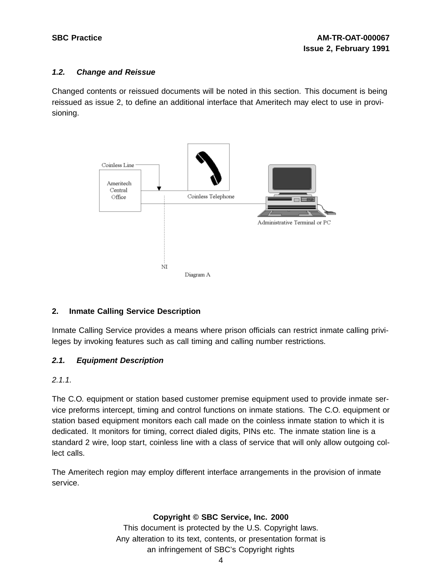## **1.2. Change and Reissue**

Changed contents or reissued documents will be noted in this section. This document is being reissued as issue 2, to define an additional interface that Ameritech may elect to use in provisioning.



## **2. Inmate Calling Service Description**

Inmate Calling Service provides a means where prison officials can restrict inmate calling privileges by invoking features such as call timing and calling number restrictions.

## **2.1. Equipment Description**

## 2.1.1.

The C.O. equipment or station based customer premise equipment used to provide inmate service preforms intercept, timing and control functions on inmate stations. The C.O. equipment or station based equipment monitors each call made on the coinless inmate station to which it is dedicated. It monitors for timing, correct dialed digits, PINs etc. The inmate station line is a standard 2 wire, loop start, coinless line with a class of service that will only allow outgoing collect calls.

The Ameritech region may employ different interface arrangements in the provision of inmate service.

## **Copyright © SBC Service, Inc. 2000**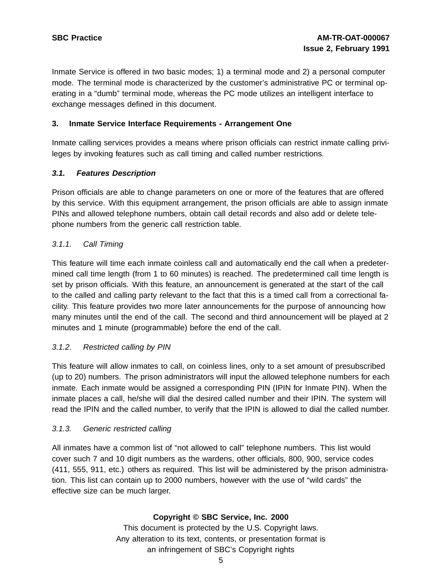Inmate Service is offered in two basic modes; 1) a terminal mode and 2) a personal computer mode. The terminal mode is characterized by the customer's administrative PC or terminal operating in a "dumb" terminal mode, whereas the PC mode utilizes an intelligent interface to exchange messages defined in this document.

## **3. Inmate Service Interface Requirements - Arrangement One**

Inmate calling services provides a means where prison officials can restrict inmate calling privileges by invoking features such as call timing and called number restrictions.

## **3.1. Features Description**

Prison officials are able to change parameters on one or more of the features that are offered by this service. With this equipment arrangement, the prison officials are able to assign inmate PINs and allowed telephone numbers, obtain call detail records and also add or delete telephone numbers from the generic call restriction table.

## 3.1.1. Call Timing

This feature will time each inmate coinless call and automatically end the call when a predetermined call time length (from 1 to 60 minutes) is reached. The predetermined call time length is set by prison officials. With this feature, an announcement is generated at the start of the call to the called and calling party relevant to the fact that this is a timed call from a correctional facility. This feature provides two more later announcements for the purpose of announcing how many minutes until the end of the call. The second and third announcement will be played at 2 minutes and 1 minute (programmable) before the end of the call.

## 3.1.2. Restricted calling by PIN

This feature will allow inmates to call, on coinless lines, only to a set amount of presubscribed (up to 20) numbers. The prison administrators will input the allowed telephone numbers for each inmate. Each inmate would be assigned a corresponding PIN (IPIN for Inmate PIN). When the inmate places a call, he/she will dial the desired called number and their IPIN. The system will read the IPIN and the called number, to verify that the IPIN is allowed to dial the called number.

## 3.1.3. Generic restricted calling

All inmates have a common list of "not allowed to call" telephone numbers. This list would cover such 7 and 10 digit numbers as the wardens, other officials, 800, 900, service codes (411, 555, 911, etc.) others as required. This list will be administered by the prison administration. This list can contain up to 2000 numbers, however with the use of "wild cards" the effective size can be much larger.

## **Copyright © SBC Service, Inc. 2000**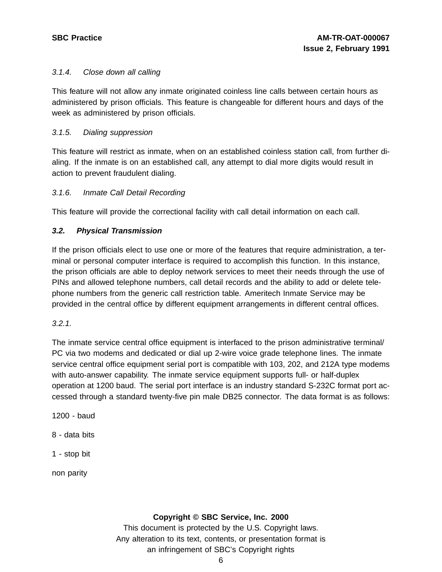## 3.1.4. Close down all calling

This feature will not allow any inmate originated coinless line calls between certain hours as administered by prison officials. This feature is changeable for different hours and days of the week as administered by prison officials.

## 3.1.5. Dialing suppression

This feature will restrict as inmate, when on an established coinless station call, from further dialing. If the inmate is on an established call, any attempt to dial more digits would result in action to prevent fraudulent dialing.

## 3.1.6. Inmate Call Detail Recording

This feature will provide the correctional facility with call detail information on each call.

## **3.2. Physical Transmission**

If the prison officials elect to use one or more of the features that require administration, a terminal or personal computer interface is required to accomplish this function. In this instance, the prison officials are able to deploy network services to meet their needs through the use of PINs and allowed telephone numbers, call detail records and the ability to add or delete telephone numbers from the generic call restriction table. Ameritech Inmate Service may be provided in the central office by different equipment arrangements in different central offices.

3.2.1.

The inmate service central office equipment is interfaced to the prison administrative terminal/ PC via two modems and dedicated or dial up 2-wire voice grade telephone lines. The inmate service central office equipment serial port is compatible with 103, 202, and 212A type modems with auto-answer capability. The inmate service equipment supports full- or half-duplex operation at 1200 baud. The serial port interface is an industry standard S-232C format port accessed through a standard twenty-five pin male DB25 connector. The data format is as follows:

1200 - baud

8 - data bits

1 - stop bit

non parity

## **Copyright © SBC Service, Inc. 2000**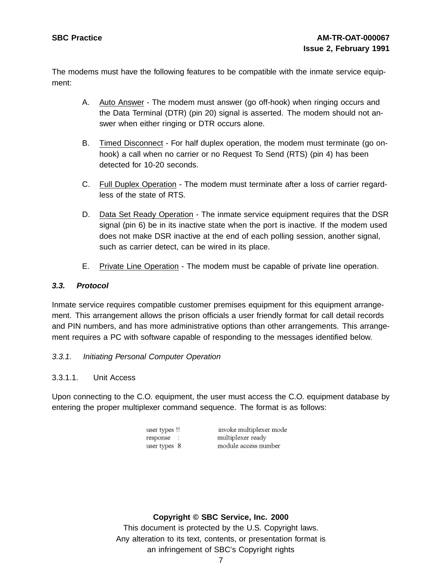The modems must have the following features to be compatible with the inmate service equipment:

- A. Auto Answer The modem must answer (go off-hook) when ringing occurs and the Data Terminal (DTR) (pin 20) signal is asserted. The modem should not answer when either ringing or DTR occurs alone.
- B. Timed Disconnect For half duplex operation, the modem must terminate (go onhook) a call when no carrier or no Request To Send (RTS) (pin 4) has been detected for 10-20 seconds.
- C. Full Duplex Operation The modem must terminate after a loss of carrier regardless of the state of RTS.
- D. Data Set Ready Operation The inmate service equipment requires that the DSR signal (pin 6) be in its inactive state when the port is inactive. If the modem used does not make DSR inactive at the end of each polling session, another signal, such as carrier detect, can be wired in its place.
- E. Private Line Operation The modem must be capable of private line operation.

## **3.3. Protocol**

Inmate service requires compatible customer premises equipment for this equipment arrangement. This arrangement allows the prison officials a user friendly format for call detail records and PIN numbers, and has more administrative options than other arrangements. This arrangement requires a PC with software capable of responding to the messages identified below.

## 3.3.1. Initiating Personal Computer Operation

### 3.3.1.1. Unit Access

Upon connecting to the C.O. equipment, the user must access the C.O. equipment database by entering the proper multiplexer command sequence. The format is as follows:

| user types !! | invoke multiplexer mode |
|---------------|-------------------------|
| response      | multiplexer ready       |
| user types 8  | module access number    |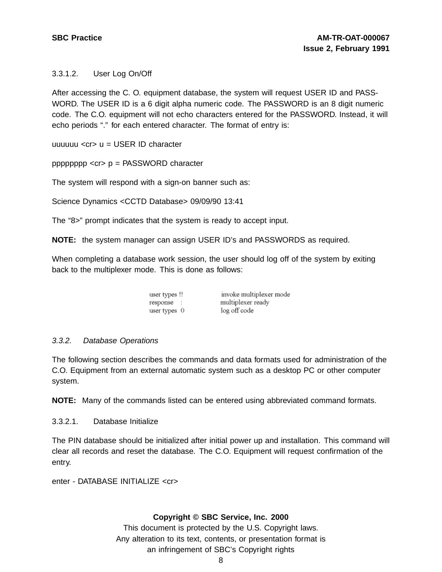3.3.1.2. User Log On/Off

After accessing the C. O. equipment database, the system will request USER ID and PASS-WORD. The USER ID is a 6 digit alpha numeric code. The PASSWORD is an 8 digit numeric code. The C.O. equipment will not echo characters entered for the PASSWORD. Instead, it will echo periods "." for each entered character. The format of entry is:

uuuuuu <cr> u = USER ID character

pppppppp <cr> p = PASSWORD character

The system will respond with a sign-on banner such as:

Science Dynamics <CCTD Database> 09/09/90 13:41

The "8>" prompt indicates that the system is ready to accept input.

**NOTE:** the system manager can assign USER ID's and PASSWORDS as required.

When completing a database work session, the user should log off of the system by exiting back to the multiplexer mode. This is done as follows:

| user types !!  | invoke multiplexer mode |
|----------------|-------------------------|
| response       | multiplexer ready       |
| user types $0$ | log off code            |

## 3.3.2. Database Operations

The following section describes the commands and data formats used for administration of the C.O. Equipment from an external automatic system such as a desktop PC or other computer system.

**NOTE:** Many of the commands listed can be entered using abbreviated command formats.

3.3.2.1. Database Initialize

The PIN database should be initialized after initial power up and installation. This command will clear all records and reset the database. The C.O. Equipment will request confirmation of the entry.

enter - DATABASE INITIALIZE <cr>

## **Copyright © SBC Service, Inc. 2000**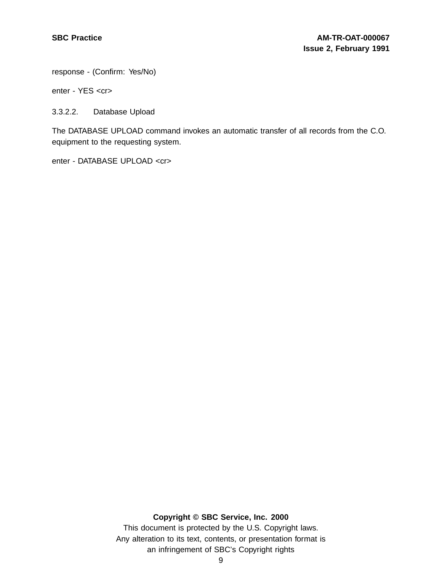response - (Confirm: Yes/No)

enter - YES <cr>

3.3.2.2. Database Upload

The DATABASE UPLOAD command invokes an automatic transfer of all records from the C.O. equipment to the requesting system.

enter - DATABASE UPLOAD <cr>

### **Copyright © SBC Service, Inc. 2000**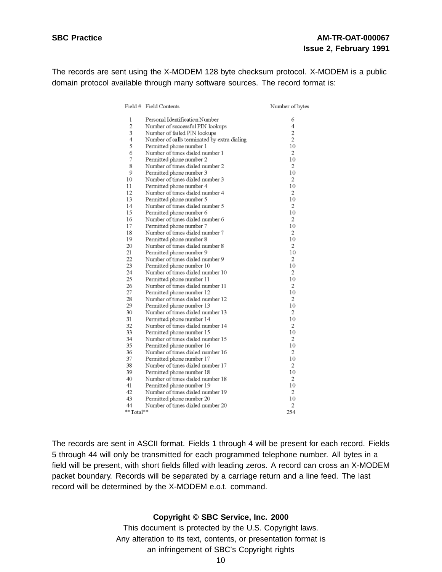The records are sent using the X-MODEM 128 byte checksum protocol. X-MODEM is a public domain protocol available through many software sources. The record format is:

| Field #        | Field Contents                                              | Number of bytes         |
|----------------|-------------------------------------------------------------|-------------------------|
| 1              | Personal Identification Number                              | 6                       |
| $\overline{c}$ | Number of successful PIN lookups                            | 4                       |
| 3              | Number of failed PIN lookups                                | $\overline{\mathbf{c}}$ |
| 4              | Number of calls terminated by extra dialing                 | $\overline{c}$          |
| 5              | Permitted phone number 1                                    | 10                      |
| 6              | Number of times dialed number 1                             | $\overline{2}$          |
| 7              | Permitted phone number 2                                    | 10                      |
| 8              | Number of times dialed number 2                             | 2                       |
| 9              | Permitted phone number 3                                    | 10                      |
| 10             | Number of times dialed number 3                             | 2                       |
| 11             | Permitted phone number 4                                    | 10                      |
| 12             | Number of times dialed number 4                             | 2                       |
| 13             | Permitted phone number 5                                    | 10                      |
| 14             | Number of times dialed number 5                             | 2                       |
| 15             | Permitted phone number 6                                    | 10                      |
| 16             | Number of times dialed number 6                             | 2                       |
| 17             | Permitted phone number 7                                    | 10                      |
| 18             | Number of times dialed number 7                             | 2                       |
| 19<br>20       | Permitted phone number 8<br>Number of times dialed number 8 | 10<br>2                 |
| 21             | Permitted phone number 9                                    | 10                      |
| 22             | Number of times dialed number 9                             | 2                       |
| 23             | Permitted phone number 10                                   | 10                      |
| 24             | Number of times dialed number 10                            | 2                       |
| 25             | Permitted phone number 11                                   | 10                      |
| 26             | Number of times dialed number 11                            | 2                       |
| 27             | Permitted phone number 12                                   | 10                      |
| 28             | Number of times dialed number 12                            | 2                       |
| 29             | Permitted phone number 13                                   | 10                      |
| 30             | Number of times dialed number 13                            | 2                       |
| 31             | Permitted phone number 14                                   | 10                      |
| 32             | Number of times dialed number 14                            | 2                       |
| 33             | Permitted phone number 15                                   | 10                      |
| 34             | Number of times dialed number 15                            | 2                       |
| 35             | Permitted phone number 16                                   | 10                      |
| 36             | Number of times dialed number 16                            | 2                       |
| 37             | Permitted phone number 17                                   | 10                      |
| 38             | Number of times dialed number 17                            | 2                       |
| 39             | Permitted phone number 18                                   | 10                      |
| 40             | Number of times dialed number 18                            | 2                       |
| 41             | Permitted phone number 19                                   | 10                      |
| 42             | Number of times dialed number 19                            | 2                       |
| 43             | Permitted phone number 20                                   | 10                      |
| 44             | Number of times dialed number 20                            | 2                       |
| **Total**      |                                                             | 254                     |

The records are sent in ASCII format. Fields 1 through 4 will be present for each record. Fields 5 through 44 will only be transmitted for each programmed telephone number. All bytes in a field will be present, with short fields filled with leading zeros. A record can cross an X-MODEM packet boundary. Records will be separated by a carriage return and a line feed. The last record will be determined by the X-MODEM e.o.t. command.

#### **Copyright © SBC Service, Inc. 2000**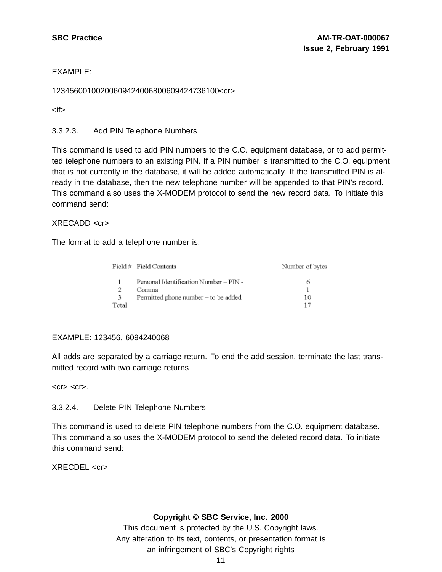## EXAMPLE:

## 12345600100200609424006800609424736100<cr>

 $<$ if $>$ 

## 3.3.2.3. Add PIN Telephone Numbers

This command is used to add PIN numbers to the C.O. equipment database, or to add permitted telephone numbers to an existing PIN. If a PIN number is transmitted to the C.O. equipment that is not currently in the database, it will be added automatically. If the transmitted PIN is already in the database, then the new telephone number will be appended to that PIN's record. This command also uses the X-MODEM protocol to send the new record data. To initiate this command send:

## XRECADD <cr>

The format to add a telephone number is:

|       | Field $#$ Field Contents               | Number of bytes |
|-------|----------------------------------------|-----------------|
|       | Personal Identification Number – PIN - | 6               |
|       | Comma                                  |                 |
| 3     | Permitted phone number - to be added   | 10              |
| Total |                                        | 17              |

## EXAMPLE: 123456, 6094240068

All adds are separated by a carriage return. To end the add session, terminate the last transmitted record with two carriage returns

<cr> <cr>.

## 3.3.2.4. Delete PIN Telephone Numbers

This command is used to delete PIN telephone numbers from the C.O. equipment database. This command also uses the X-MODEM protocol to send the deleted record data. To initiate this command send:

XRECDEL <cr>

## **Copyright © SBC Service, Inc. 2000**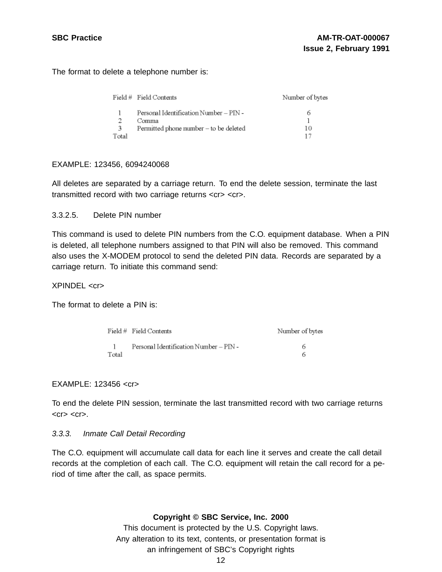The format to delete a telephone number is:

|       | Field $#$ Field Contents               | Number of bytes |
|-------|----------------------------------------|-----------------|
|       | Personal Identification Number – PIN - | 6               |
|       | Comma                                  |                 |
| 3     | Permitted phone number - to be deleted | 10.             |
| Total |                                        |                 |

### EXAMPLE: 123456, 6094240068

All deletes are separated by a carriage return. To end the delete session, terminate the last transmitted record with two carriage returns <cr> <cr>.

#### 3.3.2.5. Delete PIN number

This command is used to delete PIN numbers from the C.O. equipment database. When a PIN is deleted, all telephone numbers assigned to that PIN will also be removed. This command also uses the X-MODEM protocol to send the deleted PIN data. Records are separated by a carriage return. To initiate this command send:

XPINDEL <cr>

The format to delete a PIN is:

|       | Field $#$ Field Contents               | Number of bytes |
|-------|----------------------------------------|-----------------|
| Total | Personal Identification Number – PIN - | 6               |

## EXAMPLE: 123456 <cr>

To end the delete PIN session, terminate the last transmitted record with two carriage returns <cr> <cr>.

## 3.3.3. Inmate Call Detail Recording

The C.O. equipment will accumulate call data for each line it serves and create the call detail records at the completion of each call. The C.O. equipment will retain the call record for a period of time after the call, as space permits.

## **Copyright © SBC Service, Inc. 2000**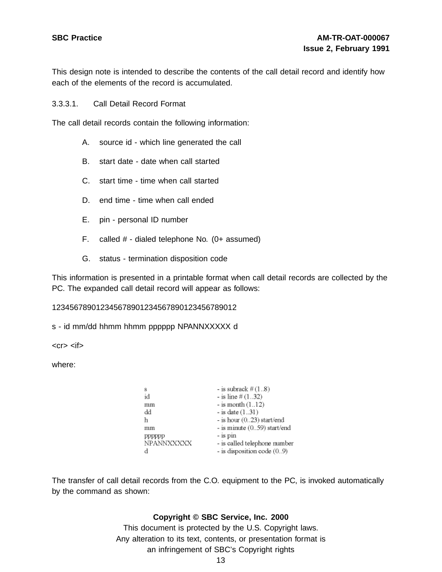This design note is intended to describe the contents of the call detail record and identify how each of the elements of the record is accumulated.

3.3.3.1. Call Detail Record Format

The call detail records contain the following information:

- A. source id which line generated the call
- B. start date date when call started
- C. start time time when call started
- D. end time time when call ended
- E. pin personal ID number
- F. called # dialed telephone No. (0+ assumed)
- G. status termination disposition code

This information is presented in a printable format when call detail records are collected by the PC. The expanded call detail record will appear as follows:

#### 123456789012345678901234567890123456789012

s - id mm/dd hhmm hhmm pppppp NPANNXXXXX d

 $\langle c \rangle \langle c \rangle$ 

where:

| s             | - is subrack $\#(1.8)$       |
|---------------|------------------------------|
| id            | $-$ is line # $(132)$        |
| mm            | $-$ is month $(112)$         |
| dd            | $-$ is date $(131)$          |
| h             | - is hour (023) start/end    |
| mm            | - is minute (059) start/end  |
| <b>PPPPPP</b> | - is pin                     |
| NPANNXXXXX    | - is called telephone number |
| d             | - is disposition code (09)   |

The transfer of call detail records from the C.O. equipment to the PC, is invoked automatically by the command as shown: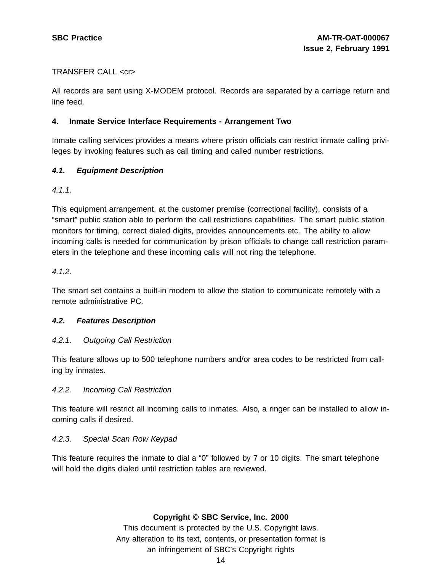## TRANSFER CALL <cr>

All records are sent using X-MODEM protocol. Records are separated by a carriage return and line feed.

## **4. Inmate Service Interface Requirements - Arrangement Two**

Inmate calling services provides a means where prison officials can restrict inmate calling privileges by invoking features such as call timing and called number restrictions.

## **4.1. Equipment Description**

## 4.1.1.

This equipment arrangement, at the customer premise (correctional facility), consists of a "smart" public station able to perform the call restrictions capabilities. The smart public station monitors for timing, correct dialed digits, provides announcements etc. The ability to allow incoming calls is needed for communication by prison officials to change call restriction parameters in the telephone and these incoming calls will not ring the telephone.

## 4.1.2.

The smart set contains a built-in modem to allow the station to communicate remotely with a remote administrative PC.

## **4.2. Features Description**

## 4.2.1. Outgoing Call Restriction

This feature allows up to 500 telephone numbers and/or area codes to be restricted from calling by inmates.

## 4.2.2. Incoming Call Restriction

This feature will restrict all incoming calls to inmates. Also, a ringer can be installed to allow incoming calls if desired.

## 4.2.3. Special Scan Row Keypad

This feature requires the inmate to dial a "0" followed by 7 or 10 digits. The smart telephone will hold the digits dialed until restriction tables are reviewed.

## **Copyright © SBC Service, Inc. 2000**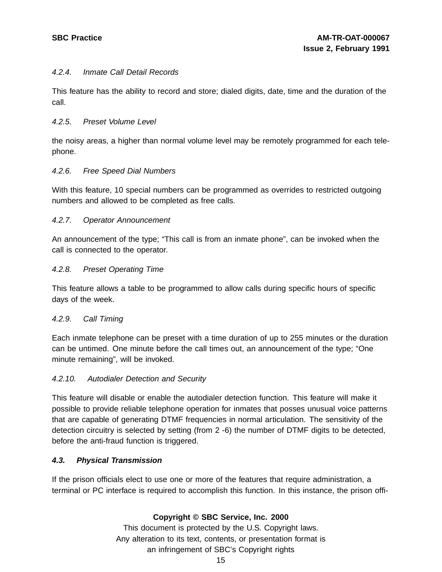## 4.2.4. Inmate Call Detail Records

This feature has the ability to record and store; dialed digits, date, time and the duration of the call.

## 4.2.5. Preset Volume Level

the noisy areas, a higher than normal volume level may be remotely programmed for each telephone.

## 4.2.6. Free Speed Dial Numbers

With this feature, 10 special numbers can be programmed as overrides to restricted outgoing numbers and allowed to be completed as free calls.

## 4.2.7. Operator Announcement

An announcement of the type; "This call is from an inmate phone", can be invoked when the call is connected to the operator.

## 4.2.8. Preset Operating Time

This feature allows a table to be programmed to allow calls during specific hours of specific days of the week.

## 4.2.9. Call Timing

Each inmate telephone can be preset with a time duration of up to 255 minutes or the duration can be untimed. One minute before the call times out, an announcement of the type; "One minute remaining", will be invoked.

## 4.2.10. Autodialer Detection and Security

This feature will disable or enable the autodialer detection function. This feature will make it possible to provide reliable telephone operation for inmates that posses unusual voice patterns that are capable of generating DTMF frequencies in normal articulation. The sensitivity of the detection circuitry is selected by setting (from 2 -6) the number of DTMF digits to be detected, before the anti-fraud function is triggered.

## **4.3. Physical Transmission**

If the prison officials elect to use one or more of the features that require administration, a terminal or PC interface is required to accomplish this function. In this instance, the prison offi-

## **Copyright © SBC Service, Inc. 2000**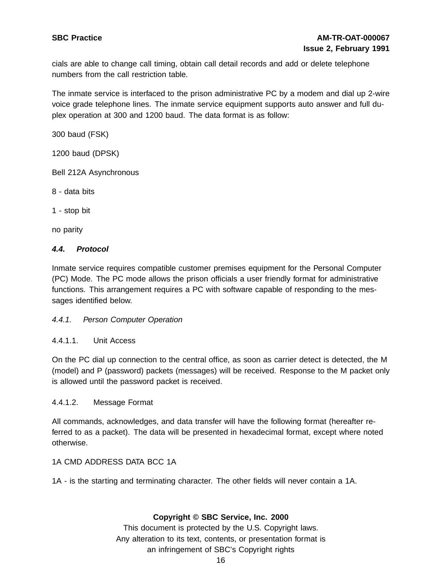cials are able to change call timing, obtain call detail records and add or delete telephone numbers from the call restriction table.

The inmate service is interfaced to the prison administrative PC by a modem and dial up 2-wire voice grade telephone lines. The inmate service equipment supports auto answer and full duplex operation at 300 and 1200 baud. The data format is as follow:

300 baud (FSK)

1200 baud (DPSK)

Bell 212A Asynchronous

8 - data bits

1 - stop bit

no parity

## **4.4. Protocol**

Inmate service requires compatible customer premises equipment for the Personal Computer (PC) Mode. The PC mode allows the prison officials a user friendly format for administrative functions. This arrangement requires a PC with software capable of responding to the messages identified below.

## 4.4.1. Person Computer Operation

## 4.4.1.1. Unit Access

On the PC dial up connection to the central office, as soon as carrier detect is detected, the M (model) and P (password) packets (messages) will be received. Response to the M packet only is allowed until the password packet is received.

#### 4.4.1.2. Message Format

All commands, acknowledges, and data transfer will have the following format (hereafter referred to as a packet). The data will be presented in hexadecimal format, except where noted otherwise.

## 1A CMD ADDRESS DATA BCC 1A

1A - is the starting and terminating character. The other fields will never contain a 1A.

## **Copyright © SBC Service, Inc. 2000**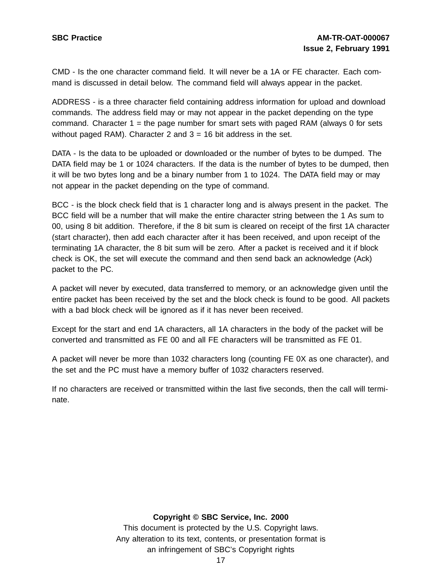CMD - Is the one character command field. It will never be a 1A or FE character. Each command is discussed in detail below. The command field will always appear in the packet.

ADDRESS - is a three character field containing address information for upload and download commands. The address field may or may not appear in the packet depending on the type command. Character  $1 =$  the page number for smart sets with paged RAM (always 0 for sets without paged RAM). Character 2 and  $3 = 16$  bit address in the set.

DATA - Is the data to be uploaded or downloaded or the number of bytes to be dumped. The DATA field may be 1 or 1024 characters. If the data is the number of bytes to be dumped, then it will be two bytes long and be a binary number from 1 to 1024. The DATA field may or may not appear in the packet depending on the type of command.

BCC - is the block check field that is 1 character long and is always present in the packet. The BCC field will be a number that will make the entire character string between the 1 As sum to 00, using 8 bit addition. Therefore, if the 8 bit sum is cleared on receipt of the first 1A character (start character), then add each character after it has been received, and upon receipt of the terminating 1A character, the 8 bit sum will be zero. After a packet is received and it if block check is OK, the set will execute the command and then send back an acknowledge (Ack) packet to the PC.

A packet will never by executed, data transferred to memory, or an acknowledge given until the entire packet has been received by the set and the block check is found to be good. All packets with a bad block check will be ignored as if it has never been received.

Except for the start and end 1A characters, all 1A characters in the body of the packet will be converted and transmitted as FE 00 and all FE characters will be transmitted as FE 01.

A packet will never be more than 1032 characters long (counting FE 0X as one character), and the set and the PC must have a memory buffer of 1032 characters reserved.

If no characters are received or transmitted within the last five seconds, then the call will terminate.

#### **Copyright © SBC Service, Inc. 2000**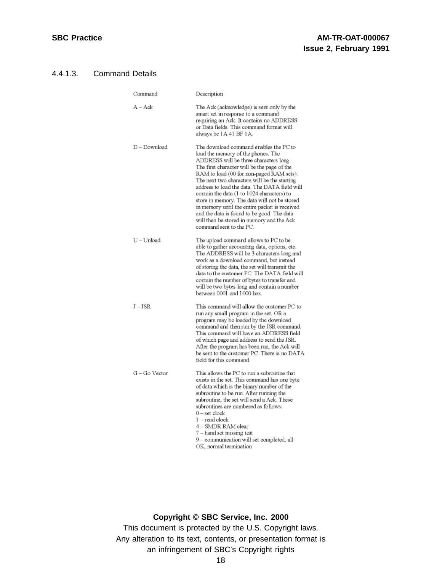#### 4.4.1.3. Command Details

| Command       | Description                                                                                                                                                                                                                                                                                                                                                                                                                                                                                                                                                                             |
|---------------|-----------------------------------------------------------------------------------------------------------------------------------------------------------------------------------------------------------------------------------------------------------------------------------------------------------------------------------------------------------------------------------------------------------------------------------------------------------------------------------------------------------------------------------------------------------------------------------------|
| A – Ack       | The Ack (acknowledge) is sent only by the<br>smart set in response to a command<br>requiring an Ack. It contains no ADDRESS<br>or Data fields. This command format will<br>always be 1A 41 BF 1A.                                                                                                                                                                                                                                                                                                                                                                                       |
| D - Download  | The download command enables the PC to<br>load the memory of the phones. The<br>ADDRESS will be three characters long.<br>The first character will be the page of the<br>RAM to load (00 for non-paged RAM sets).<br>The next two characters will be the starting<br>address to load the data. The DATA field will<br>contain the data (1 to 1024 characters) to<br>store in memory. The data will not be stored<br>in memory until the entire packet is received<br>and the data is found to be good. The data<br>will then be stored in memory and the Ack<br>command sent to the PC. |
| U – Unload    | The upload command allows to PC to be<br>able to gather accounting data, options, etc.<br>The ADDRESS will be 3 characters long and<br>work as a download command, but instead<br>of storing the data, the set will transmit the<br>data to the customer PC. The DATA field will<br>contain the number of bytes to transfer and<br>will be two bytes long and contain a number<br>between 0001 and 1000 hex.                                                                                                                                                                            |
| $J - JSR$     | This command will allow the customer PC to<br>run any small program in the set. OR a<br>program may be loaded by the download<br>command and then run by the JSR command.<br>This command will have an ADDRESS field<br>of which page and address to send the JSR.<br>After the program has been run, the Ack will<br>be sent to the customer PC. There is no DATA<br>field for this command.                                                                                                                                                                                           |
| G - Go Vector | This allows the PC to run a subroutine that<br>exists in the set. This command has one byte<br>of data which is the binary number of the<br>subroutine to be run. After running the<br>subroutine, the set will send a Ack. These<br>subroutines are numbered as follows:<br>$0$ – set clock<br>1 - read clock<br>4 - SMDR RAM clear<br>7 - hand set missing test<br>9 - communication will set completed, all<br>OK, normal termination                                                                                                                                                |

## **Copyright © SBC Service, Inc. 2000**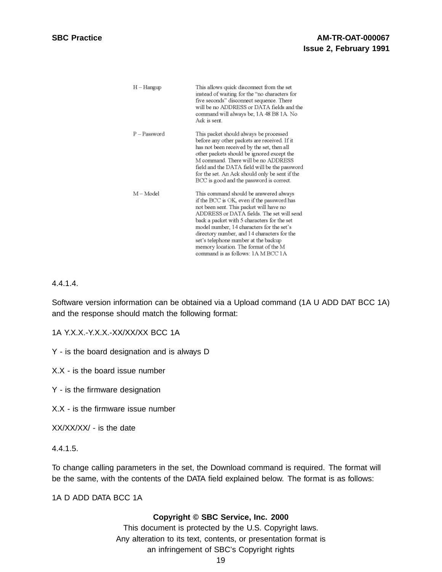| $H - H$ angup | This allows quick disconnect from the set<br>instead of waiting for the "no characters for<br>five seconds" disconnect sequence. There<br>will be no ADDRESS or DATA fields and the<br>command will always be; 1A 48 B8 1A. No<br>Ack is sent.                                                                                                                                                                                                |
|---------------|-----------------------------------------------------------------------------------------------------------------------------------------------------------------------------------------------------------------------------------------------------------------------------------------------------------------------------------------------------------------------------------------------------------------------------------------------|
| P - Password  | This packet should always be processed<br>before any other packets are received. If it<br>has not been received by the set, then all<br>other packets should be ignored except the<br>M command. There will be no ADDRESS<br>field and the DATA field will be the password<br>for the set. An Ack should only be sent if the<br>BCC is good and the password is correct.                                                                      |
| M – Model     | This command should be answered always<br>if the BCC is OK, even if the password has<br>not been sent. This packet will have no<br>ADDRESS or DATA fields. The set will send<br>back a packet with 5 characters for the set<br>model number, 14 characters for the set's<br>directory number, and 14 characters for the<br>set's telephone number at the backup<br>memory location. The format of the M<br>command is as follows: 1A M BCC 1A |

4.4.1.4.

Software version information can be obtained via a Upload command (1A U ADD DAT BCC 1A) and the response should match the following format:

1A Y.X.X.-Y.X.X.-XX/XX/XX BCC 1A

Y - is the board designation and is always D

X.X - is the board issue number

- Y is the firmware designation
- X.X is the firmware issue number

XX/XX/XX/ - is the date

## 4.4.1.5.

To change calling parameters in the set, the Download command is required. The format will be the same, with the contents of the DATA field explained below. The format is as follows:

1A D ADD DATA BCC 1A

## **Copyright © SBC Service, Inc. 2000**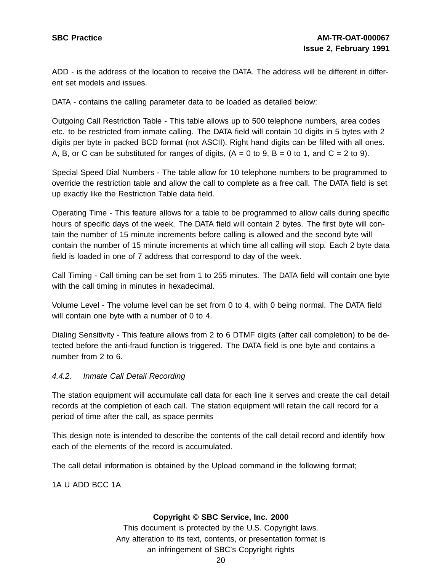ADD - is the address of the location to receive the DATA. The address will be different in different set models and issues.

DATA - contains the calling parameter data to be loaded as detailed below:

Outgoing Call Restriction Table - This table allows up to 500 telephone numbers, area codes etc. to be restricted from inmate calling. The DATA field will contain 10 digits in 5 bytes with 2 digits per byte in packed BCD format (not ASCII). Right hand digits can be filled with all ones. A, B, or C can be substituted for ranges of digits,  $(A = 0$  to 9, B = 0 to 1, and C = 2 to 9).

Special Speed Dial Numbers - The table allow for 10 telephone numbers to be programmed to override the restriction table and allow the call to complete as a free call. The DATA field is set up exactly like the Restriction Table data field.

Operating Time - This feature allows for a table to be programmed to allow calls during specific hours of specific days of the week. The DATA field will contain 2 bytes. The first byte will contain the number of 15 minute increments before calling is allowed and the second byte will contain the number of 15 minute increments at which time all calling will stop. Each 2 byte data field is loaded in one of 7 address that correspond to day of the week.

Call Timing - Call timing can be set from 1 to 255 minutes. The DATA field will contain one byte with the call timing in minutes in hexadecimal.

Volume Level - The volume level can be set from 0 to 4, with 0 being normal. The DATA field will contain one byte with a number of 0 to 4.

Dialing Sensitivity - This feature allows from 2 to 6 DTMF digits (after call completion) to be detected before the anti-fraud function is triggered. The DATA field is one byte and contains a number from 2 to 6.

## 4.4.2. Inmate Call Detail Recording

The station equipment will accumulate call data for each line it serves and create the call detail records at the completion of each call. The station equipment will retain the call record for a period of time after the call, as space permits

This design note is intended to describe the contents of the call detail record and identify how each of the elements of the record is accumulated.

The call detail information is obtained by the Upload command in the following format;

1A U ADD BCC 1A

#### **Copyright © SBC Service, Inc. 2000**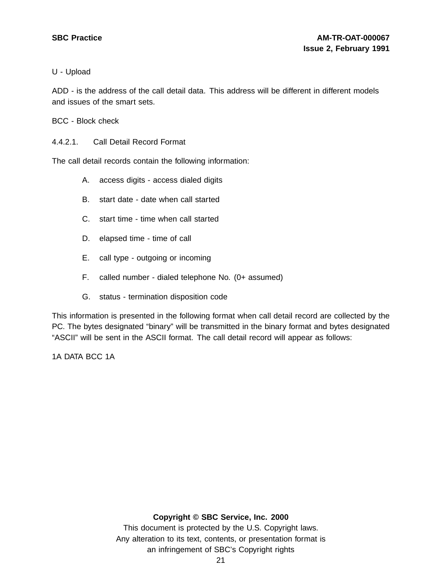U - Upload

ADD - is the address of the call detail data. This address will be different in different models and issues of the smart sets.

BCC - Block check

4.4.2.1. Call Detail Record Format

The call detail records contain the following information:

- A. access digits access dialed digits
- B. start date date when call started
- C. start time time when call started
- D. elapsed time time of call
- E. call type outgoing or incoming
- F. called number dialed telephone No. (0+ assumed)
- G. status termination disposition code

This information is presented in the following format when call detail record are collected by the PC. The bytes designated "binary" will be transmitted in the binary format and bytes designated "ASCII" will be sent in the ASCII format. The call detail record will appear as follows:

1A DATA BCC 1A

#### **Copyright © SBC Service, Inc. 2000**